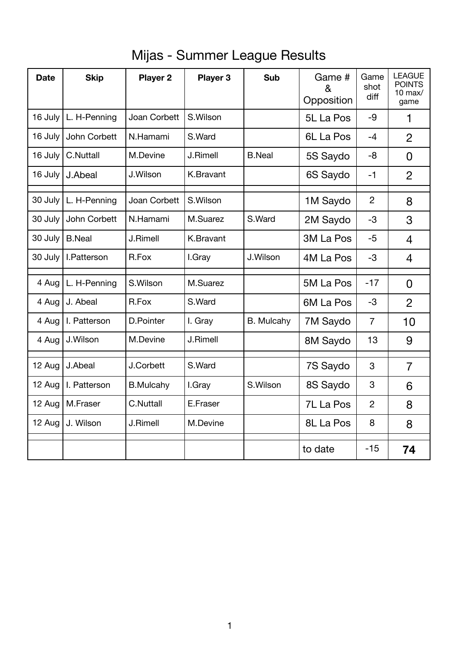## Mijas - Summer League Results

| <b>Date</b> | <b>Skip</b>   | <b>Player 2</b>  | <b>Player 3</b> | <b>Sub</b>        | Game #<br>&<br>Opposition | Game<br>shot<br>diff | <b>LEAGUE</b><br><b>POINTS</b><br>$10$ max/<br>game |
|-------------|---------------|------------------|-----------------|-------------------|---------------------------|----------------------|-----------------------------------------------------|
| 16 July     | L. H-Penning  | Joan Corbett     | S.Wilson        |                   | 5L La Pos                 | $-9$                 | 1                                                   |
| 16 July     | John Corbett  | N.Hamami         | S.Ward          |                   | 6L La Pos                 | $-4$                 | $\overline{2}$                                      |
| 16 July     | C.Nuttall     | M.Devine         | J.Rimell        | <b>B.Neal</b>     | 5S Saydo                  | -8                   | 0                                                   |
| 16 July     | J.Abeal       | J.Wilson         | K.Bravant       |                   | 6S Saydo                  | $-1$                 | $\overline{2}$                                      |
| 30 July     | L. H-Penning  | Joan Corbett     | S.Wilson        |                   | 1M Saydo                  | $\overline{2}$       | 8                                                   |
| 30 July     | John Corbett  | N.Hamami         | M.Suarez        | S.Ward            | 2M Saydo                  | $-3$                 | 3                                                   |
| 30 July     | <b>B.Neal</b> | J.Rimell         | K.Bravant       |                   | 3M La Pos                 | $-5$                 | $\overline{4}$                                      |
| 30 July     | I.Patterson   | R.Fox            | I.Gray          | J.Wilson          | 4M La Pos                 | $-3$                 | 4                                                   |
| 4 Aug       | L. H-Penning  | S.Wilson         | M.Suarez        |                   | 5M La Pos                 | $-17$                | $\overline{0}$                                      |
| 4 Aug       | J. Abeal      | R.Fox            | S.Ward          |                   | 6M La Pos                 | $-3$                 | $\overline{2}$                                      |
| 4 Aug       | I. Patterson  | D.Pointer        | I. Gray         | <b>B.</b> Mulcahy | 7M Saydo                  | $\overline{7}$       | 10                                                  |
| 4 Aug       | J.Wilson      | M.Devine         | J.Rimell        |                   | 8M Saydo                  | 13                   | 9                                                   |
| 12 Aug      | J.Abeal       | J.Corbett        | S.Ward          |                   | 7S Saydo                  | 3                    | 7                                                   |
| 12 Aug      | I. Patterson  | <b>B.Mulcahy</b> | I.Gray          | S.Wilson          | 8S Saydo                  | 3                    | 6                                                   |
| 12 Aug      | M.Fraser      | <b>C.Nuttall</b> | E.Fraser        |                   | 7L La Pos                 | $\overline{2}$       | 8                                                   |
| 12 Aug      | J. Wilson     | J.Rimell         | M.Devine        |                   | 8L La Pos                 | 8                    | 8                                                   |
|             |               |                  |                 |                   | to date                   | $-15$                | 74                                                  |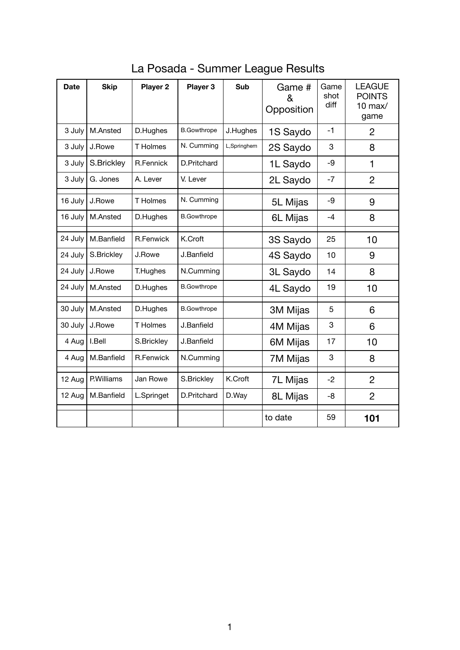| <b>Date</b> | <b>Skip</b> | <b>Player 2</b>  | <b>Player 3</b>    | <b>Sub</b>  | Game #<br>&<br>Opposition | Game<br>shot<br>diff | <b>LEAGUE</b><br><b>POINTS</b><br>$10$ max/<br>game |
|-------------|-------------|------------------|--------------------|-------------|---------------------------|----------------------|-----------------------------------------------------|
| 3 July      | M.Ansted    | D.Hughes         | <b>B.Gowthrope</b> | J.Hughes    | 1S Saydo                  | $-1$                 | $\overline{2}$                                      |
| 3 July      | J.Rowe      | T Holmes         | N. Cumming         | L,Springhem | 2S Saydo                  | 3                    | 8                                                   |
| 3 July      | S.Brickley  | R.Fennick        | D.Pritchard        |             | 1L Saydo                  | $-9$                 | 1                                                   |
| 3 July      | G. Jones    | A. Lever         | V. Lever           |             | 2L Saydo                  | $-7$                 | $\overline{2}$                                      |
| 16 July     | J.Rowe      | <b>T</b> Holmes  | N. Cumming         |             | 5L Mijas                  | $-9$                 | 9                                                   |
| 16 July     | M.Ansted    | D.Hughes         | <b>B.Gowthrope</b> |             | 6L Mijas                  | $-4$                 | 8                                                   |
| 24 July     | M.Banfield  | <b>R.Fenwick</b> | K.Croft            |             | 3S Saydo                  | 25                   | 10                                                  |
| 24 July     | S.Brickley  | J.Rowe           | J.Banfield         |             | 4S Saydo                  | 10                   | 9                                                   |
| 24 July     | J.Rowe      | T.Hughes         | N.Cumming          |             | 3L Saydo                  | 14                   | 8                                                   |
| 24 July     | M.Ansted    | D.Hughes         | <b>B.Gowthrope</b> |             | 4L Saydo                  | 19                   | 10                                                  |
| 30 July     | M.Ansted    | D.Hughes         | <b>B.Gowthrope</b> |             | 3M Mijas                  | 5                    | 6                                                   |
| 30 July     | J.Rowe      | <b>T</b> Holmes  | J.Banfield         |             | 4M Mijas                  | 3                    | 6                                                   |
| 4 Aug       | I.Bell      | S.Brickley       | J.Banfield         |             | 6M Mijas                  | 17                   | 10                                                  |
| 4 Aug       | M.Banfield  | R.Fenwick        | N.Cumming          |             | 7M Mijas                  | 3                    | 8                                                   |
| 12 Aug      | P.Williams  | Jan Rowe         | S.Brickley         | K.Croft     | 7L Mijas                  | $-2$                 | $\overline{2}$                                      |
| 12 Aug      | M.Banfield  | L.Springet       | D.Pritchard        | D.Way       | 8L Mijas                  | -8                   | $\overline{2}$                                      |
|             |             |                  |                    |             | to date                   | 59                   | 101                                                 |

La Posada - Summer League Results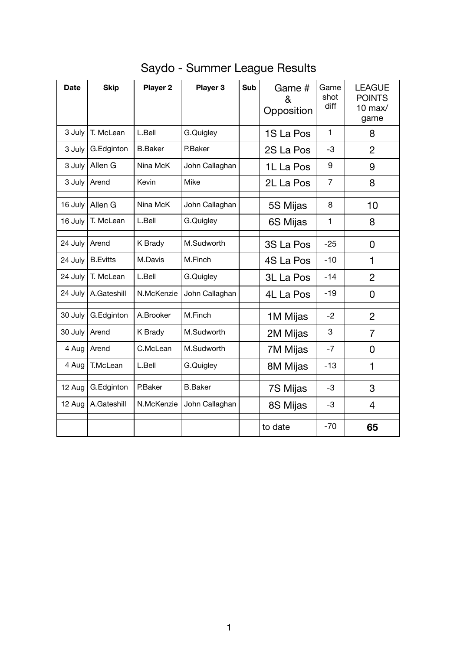| <b>Date</b> | <b>Skip</b>     | <b>Player 2</b> | <b>Player 3</b> | <b>Sub</b> | Game #<br>&<br>Opposition | Game<br>shot<br>diff | <b>LEAGUE</b><br><b>POINTS</b><br>10 max $/$<br>game |
|-------------|-----------------|-----------------|-----------------|------------|---------------------------|----------------------|------------------------------------------------------|
| 3 July      | T. McLean       | L.Bell          | G.Quigley       |            | 1S La Pos                 | $\mathbf{1}$         | 8                                                    |
| $3$ July    | G.Edginton      | <b>B.Baker</b>  | P.Baker         |            | 2S La Pos                 | $-3$                 | $\overline{2}$                                       |
| 3 July      | Allen G         | Nina McK        | John Callaghan  |            | 1L La Pos                 | 9                    | 9                                                    |
| $3$ July    | Arend           | Kevin           | Mike            |            | 2L La Pos                 | $\overline{7}$       | 8                                                    |
| 16 July     | Allen G         | Nina McK        | John Callaghan  |            | 5S Mijas                  | 8                    | 10                                                   |
| 16 July     | T. McLean       | L.Bell          | G.Quigley       |            | 6S Mijas                  | $\mathbf{1}$         | 8                                                    |
| 24 July     | Arend           | K Brady         | M.Sudworth      |            | 3S La Pos                 | $-25$                | $\overline{0}$                                       |
| 24 July     | <b>B.Evitts</b> | M.Davis         | M.Finch         |            | 4S La Pos                 | $-10$                | 1                                                    |
| 24 July     | T. McLean       | L.Bell          | G.Quigley       |            | 3L La Pos                 | $-14$                | $\overline{2}$                                       |
| 24 July     | A.Gateshill     | N.McKenzie      | John Callaghan  |            | 4L La Pos                 | $-19$                | 0                                                    |
| 30 July     | G.Edginton      | A.Brooker       | M.Finch         |            | 1M Mijas                  | $-2$                 | $\overline{2}$                                       |
| 30 July     | Arend           | K Brady         | M.Sudworth      |            | 2M Mijas                  | 3                    | $\overline{7}$                                       |
| 4 Aug       | Arend           | C.McLean        | M.Sudworth      |            | 7M Mijas                  | $-7$                 | 0                                                    |
| 4 Aug       | T.McLean        | L.Bell          | G.Quigley       |            | 8M Mijas                  | $-13$                | 1                                                    |
| 12 Aug      | G.Edginton      | P.Baker         | <b>B.Baker</b>  |            | 7S Mijas                  | $-3$                 | 3                                                    |
| 12 Aug      | A.Gateshill     | N.McKenzie      | John Callaghan  |            | 8S Mijas                  | $-3$                 | 4                                                    |
|             |                 |                 |                 |            | to date                   | $-70$                | 65                                                   |

## Saydo - Summer League Results